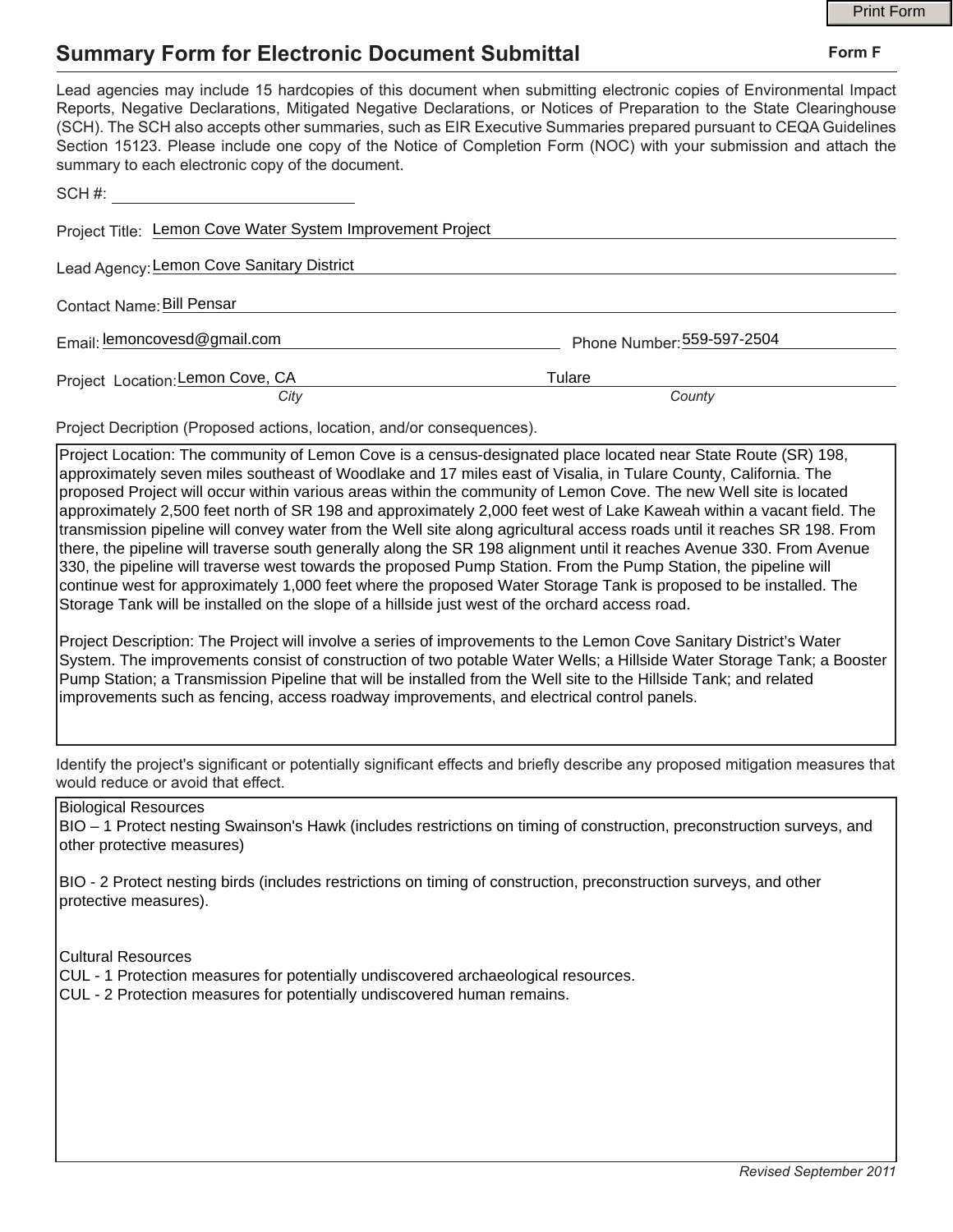## **Summary Form for Electronic Document Submittal**

|                                                                                                                                                                                                                                                                                                                                                                                                                                                                                                                                           |                            | <b>Print Form</b> |
|-------------------------------------------------------------------------------------------------------------------------------------------------------------------------------------------------------------------------------------------------------------------------------------------------------------------------------------------------------------------------------------------------------------------------------------------------------------------------------------------------------------------------------------------|----------------------------|-------------------|
| <b>Summary Form for Electronic Document Submittal</b>                                                                                                                                                                                                                                                                                                                                                                                                                                                                                     |                            | Form F            |
| Lead agencies may include 15 hardcopies of this document when submitting electronic copies of Environmental Impact<br>Reports, Negative Declarations, Mitigated Negative Declarations, or Notices of Preparation to the State Clearinghouse<br>(SCH). The SCH also accepts other summaries, such as EIR Executive Summaries prepared pursuant to CEQA Guidelines<br>Section 15123. Please include one copy of the Notice of Completion Form (NOC) with your submission and attach the<br>summary to each electronic copy of the document. |                            |                   |
| SCH#:                                                                                                                                                                                                                                                                                                                                                                                                                                                                                                                                     |                            |                   |
| Project Title: Lemon Cove Water System Improvement Project                                                                                                                                                                                                                                                                                                                                                                                                                                                                                |                            |                   |
| Lead Agency: Lemon Cove Sanitary District                                                                                                                                                                                                                                                                                                                                                                                                                                                                                                 |                            |                   |
| Contact Name: Bill Pensar                                                                                                                                                                                                                                                                                                                                                                                                                                                                                                                 |                            |                   |
| Email: lemoncovesd@gmail.com                                                                                                                                                                                                                                                                                                                                                                                                                                                                                                              | Phone Number: 559-597-2504 |                   |
| Project Location: Lemon Cove, CA<br>City                                                                                                                                                                                                                                                                                                                                                                                                                                                                                                  | Tulare<br>County           |                   |
|                                                                                                                                                                                                                                                                                                                                                                                                                                                                                                                                           |                            |                   |

Project Decription (Proposed actions, location, and/or consequences).

Project Location: The community of Lemon Cove is a census-designated place located near State Route (SR) 198, approximately seven miles southeast of Woodlake and 17 miles east of Visalia, in Tulare County, California. The proposed Project will occur within various areas within the community of Lemon Cove. The new Well site is located approximately 2,500 feet north of SR 198 and approximately 2,000 feet west of Lake Kaweah within a vacant field. The transmission pipeline will convey water from the Well site along agricultural access roads until it reaches SR 198. From there, the pipeline will traverse south generally along the SR 198 alignment until it reaches Avenue 330. From Avenue 330, the pipeline will traverse west towards the proposed Pump Station. From the Pump Station, the pipeline will continue west for approximately 1,000 feet where the proposed Water Storage Tank is proposed to be installed. The Storage Tank will be installed on the slope of a hillside just west of the orchard access road.

Project Description: The Project will involve a series of improvements to the Lemon Cove Sanitary District's Water System. The improvements consist of construction of two potable Water Wells; a Hillside Water Storage Tank; a Booster Pump Station; a Transmission Pipeline that will be installed from the Well site to the Hillside Tank; and related improvements such as fencing, access roadway improvements, and electrical control panels.

Identify the project's significant or potentially significant effects and briefly describe any proposed mitigation measures that would reduce or avoid that effect.

## Biological Resources

BIO – 1 Protect nesting Swainson's Hawk (includes restrictions on timing of construction, preconstruction surveys, and other protective measures)

BIO - 2 Protect nesting birds (includes restrictions on timing of construction, preconstruction surveys, and other protective measures).

Cultural Resources

- CUL 1 Protection measures for potentially undiscovered archaeological resources.
- CUL 2 Protection measures for potentially undiscovered human remains.